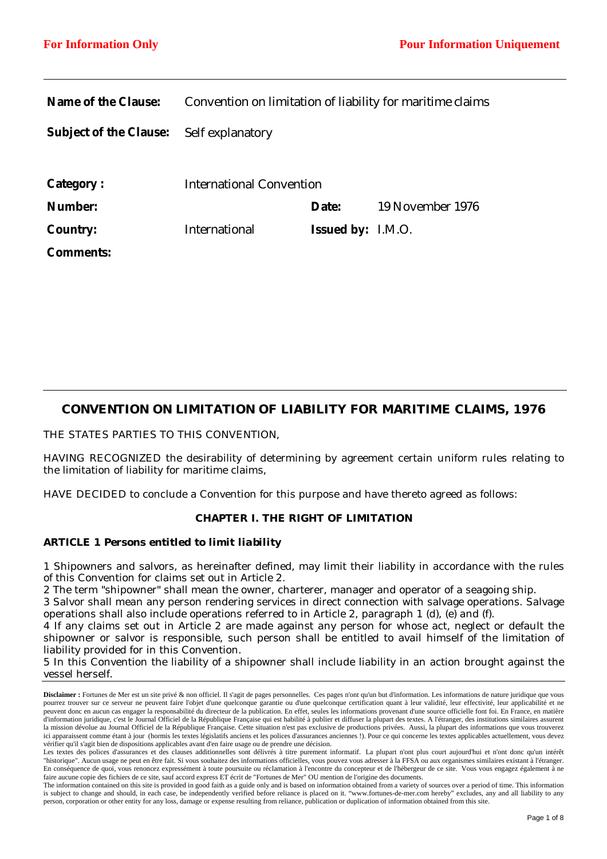| <b>Name of the Clause:</b>                     | Convention on limitation of liability for maritime claims |                          |                  |
|------------------------------------------------|-----------------------------------------------------------|--------------------------|------------------|
| <b>Subject of the Clause:</b> Self explanatory |                                                           |                          |                  |
| <b>Category:</b>                               | <b>International Convention</b>                           |                          |                  |
| Number:                                        |                                                           | Date:                    | 19 November 1976 |
| <b>Country:</b>                                | <b>International</b>                                      | <b>Issued by:</b> I.M.O. |                  |
| <b>Comments:</b>                               |                                                           |                          |                  |

# **CONVENTION ON LIMITATION OF LIABILITY FOR MARITIME CLAIMS, 1976**

THE STATES PARTIES TO THIS CONVENTION,

HAVING RECOGNIZED the desirability of determining by agreement certain uniform rules relating to the limitation of liability for maritime claims,

HAVE DECIDED to conclude a Convention for this purpose and have thereto agreed as follows:

# **CHAPTER I. THE RIGHT OF LIMITATION**

#### *ARTICLE 1 Persons entitled to limit liability*

1 Shipowners and salvors, as hereinafter defined, may limit their liability in accordance with the rules of this Convention for claims set out in Article 2.

2 The term "shipowner" shall mean the owner, charterer, manager and operator of a seagoing ship.

3 Salvor shall mean any person rendering services in direct connection with salvage operations. Salvage operations shall also include operations referred to in Article 2, paragraph 1 (d), (e) and (f).

4 If any claims set out in Article 2 are made against any person for whose act, neglect or default the shipowner or salvor is responsible, such person shall be entitled to avail himself of the limitation of liability provided for in this Convention.

5 In this Convention the liability of a shipowner shall include liability in an action brought against the vessel herself.

**Disclaimer :** Fortunes de Mer est un site privé & non officiel. Il s'agit de pages personnelles. Ces pages n'ont qu'un but d'information. Les informations de nature juridique que vous pourrez trouver sur ce serveur ne peuvent faire l'objet d'une quelconque garantie ou d'une quelconque certification quant à leur validité, leur effectivité, leur applicabilité et ne peuvent donc en aucun cas engager la responsabilité du directeur de la publication. En effet, seules les informations provenant d'une source officielle font foi. En France, en matière d'information juridique, c'est le Journal Officiel de la République Française qui est habilité à publier et diffuser la plupart des textes. A l'étranger, des institutions similaires assurent la mission dévolue au Journal Officiel de la République Française. Cette situation n'est pas exclusive de productions privées. Aussi, la plupart des informations que vous trouverez ici apparaissent comme étant à jour (hormis les textes législatifs anciens et les polices d'assurances anciennes !). Pour ce qui concerne les textes applicables actuellement, vous devez vérifier qu'il s'agit bien de dispositions applicables avant d'en faire usage ou de prendre une décision.

Les textes des polices d'assurances et des clauses additionnelles sont délivrés à titre purement informatif. La plupart n'ont plus court aujourd'hui et n'ont donc qu'un intérêt "historique". Aucun usage ne peut en être fait. Si vous souhaitez des informations officielles, vous pouvez vous adresser à la FFSA ou aux organismes similaires existant à l'étranger. En conséquence de quoi, vous renoncez expressément à toute poursuite ou réclamation à l'encontre du concepteur et de l'hébergeur de ce site. Vous vous engagez également à ne faire aucune copie des fichiers de ce site, sauf accord express ET écrit de "Fortunes de Mer" OU mention de l'origine des documents.

The information contained on this site is provided in good faith as a guide only and is based on information obtained from a variety of sources over a period of time. This information is subject to change and should, in each case, be independently verified before reliance is placed on it. "www.fortunes-de-mer.com hereby" excludes, any and all liability to any person, corporation or other entity for any loss, damage or expense resulting from reliance, publication or duplication of information obtained from this site.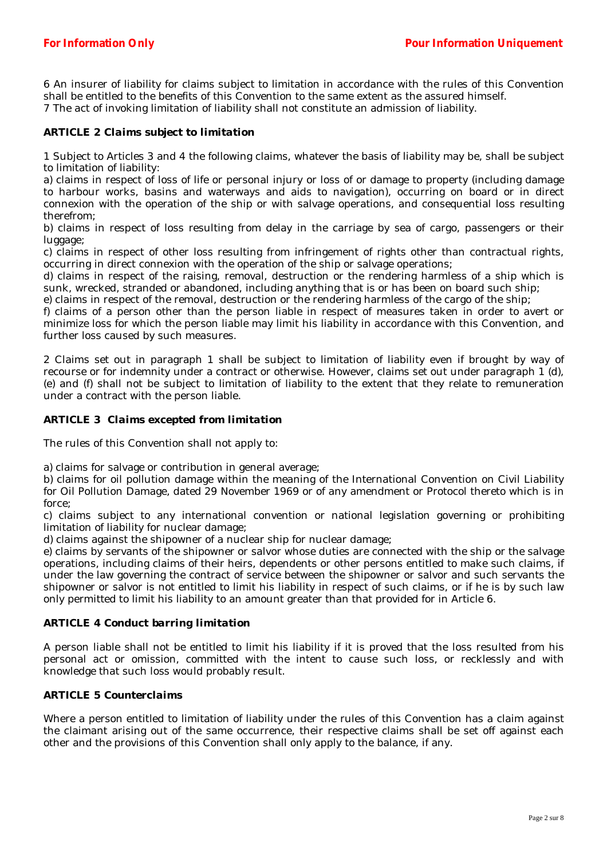6 An insurer of liability for claims subject to limitation in accordance with the rules of this Convention shall be entitled to the benefits of this Convention to the same extent as the assured himself. 7 The act of invoking limitation of liability shall not constitute an admission of liability.

#### *ARTICLE 2 Claims subject to limitation*

1 Subject to Articles 3 and 4 the following claims, whatever the basis of liability may be, shall be subject to limitation of liability:

a) claims in respect of loss of life or personal injury or loss of or damage to property (including damage to harbour works, basins and waterways and aids to navigation), occurring on board or in direct connexion with the operation of the ship or with salvage operations, and consequential loss resulting therefrom;

b) claims in respect of loss resulting from delay in the carriage by sea of cargo, passengers or their luggage;

c) claims in respect of other loss resulting from infringement of rights other than contractual rights, occurring in direct connexion with the operation of the ship or salvage operations;

d) claims in respect of the raising, removal, destruction or the rendering harmless of a ship which is sunk, wrecked, stranded or abandoned, including anything that is or has been on board such ship;

e) claims in respect of the removal, destruction or the rendering harmless of the cargo of the ship;

f) claims of a person other than the person liable in respect of measures taken in order to avert or minimize loss for which the person liable may limit his liability in accordance with this Convention, and further loss caused by such measures.

2 Claims set out in paragraph 1 shall be subject to limitation of liability even if brought by way of recourse or for indemnity under a contract or otherwise. However, claims set out under paragraph 1 (d), (e) and (f) shall not be subject to limitation of liability to the extent that they relate to remuneration under a contract with the person liable.

## *ARTICLE 3 Claims excepted from limitation*

The rules of this Convention shall not apply to:

a) claims for salvage or contribution in general average;

b) claims for oil pollution damage within the meaning of the International Convention on Civil Liability for Oil Pollution Damage, dated 29 November 1969 or of any amendment or Protocol thereto which is in force;

c) claims subject to any international convention or national legislation governing or prohibiting limitation of liability for nuclear damage;

d) claims against the shipowner of a nuclear ship for nuclear damage;

e) claims by servants of the shipowner or salvor whose duties are connected with the ship or the salvage operations, including claims of their heirs, dependents or other persons entitled to make such claims, if under the law governing the contract of service between the shipowner or salvor and such servants the shipowner or salvor is not entitled to limit his liability in respect of such claims, or if he is by such law only permitted to limit his liability to an amount greater than that provided for in Article 6.

## *ARTICLE 4 Conduct barring limitation*

A person liable shall not be entitled to limit his liability if it is proved that the loss resulted from his personal act or omission, committed with the intent to cause such loss, or recklessly and with knowledge that such loss would probably result.

## *ARTICLE 5 Counterclaims*

Where a person entitled to limitation of liability under the rules of this Convention has a claim against the claimant arising out of the same occurrence, their respective claims shall be set off against each other and the provisions of this Convention shall only apply to the balance, if any.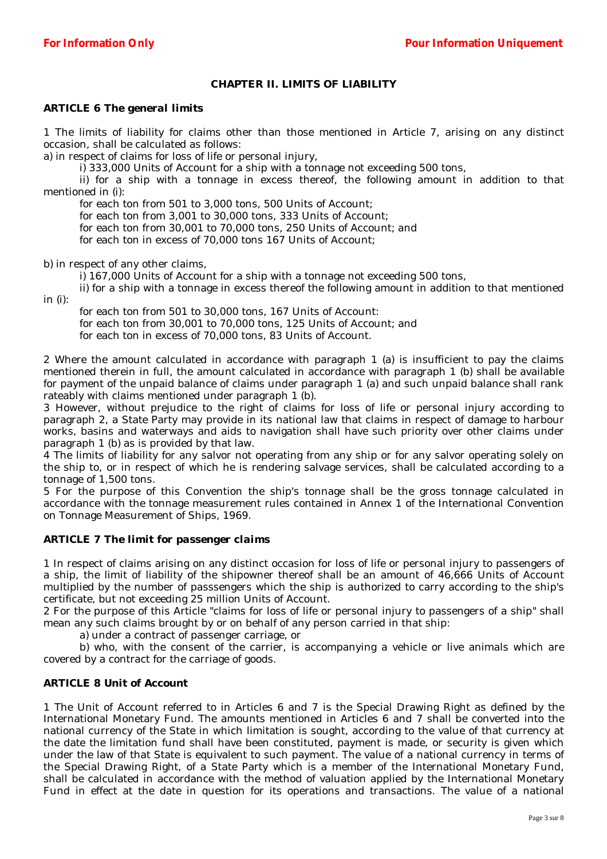# **CHAPTER II. LIMITS OF LIABILITY**

#### *ARTICLE 6 The general limits*

1 The limits of liability for claims other than those mentioned in Article 7, arising on any distinct occasion, shall be calculated as follows:

a) in respect of claims for loss of life or personal injury,

i) 333,000 Units of Account for a ship with a tonnage not exceeding 500 tons,

ii) for a ship with a tonnage in excess thereof, the following amount in addition to that mentioned in (i):

for each ton from 501 to 3,000 tons, 500 Units of Account;

for each ton from 3,001 to 30,000 tons, 333 Units of Account;

for each ton from 30,001 to 70,000 tons, 250 Units of Account; and

for each ton in excess of 70,000 tons 167 Units of Account;

b) in respect of any other claims,

i) 167,000 Units of Account for a ship with a tonnage not exceeding 500 tons,

ii) for a ship with a tonnage in excess thereof the following amount in addition to that mentioned in (i):

for each ton from 501 to 30,000 tons, 167 Units of Account: for each ton from 30,001 to 70,000 tons, 125 Units of Account; and for each ton in excess of 70,000 tons, 83 Units of Account.

2 Where the amount calculated in accordance with paragraph 1 (a) is insufficient to pay the claims mentioned therein in full, the amount calculated in accordance with paragraph 1 (b) shall be available for payment of the unpaid balance of claims under paragraph 1 (a) and such unpaid balance shall rank rateably with claims mentioned under paragraph 1 (b).

3 However, without prejudice to the right of claims for loss of life or personal injury according to paragraph 2, a State Party may provide in its national law that claims in respect of damage to harbour works, basins and waterways and aids to navigation shall have such priority over other claims under paragraph 1 (b) as is provided by that law.

4 The limits of liability for any salvor not operating from any ship or for any salvor operating solely on the ship to, or in respect of which he is rendering salvage services, shall be calculated according to a tonnage of 1,500 tons.

5 For the purpose of this Convention the ship's tonnage shall be the gross tonnage calculated in accordance with the tonnage measurement rules contained in Annex 1 of the International Convention on Tonnage Measurement of Ships, 1969.

## *ARTICLE 7 The limit for passenger claims*

1 In respect of claims arising on any distinct occasion for loss of life or personal injury to passengers of a ship, the limit of liability of the shipowner thereof shall be an amount of 46,666 Units of Account multiplied by the number of passsengers which the ship is authorized to carry according to the ship's certificate, but not exceeding 25 million Units of Account.

2 For the purpose of this Article "claims for loss of life or personal injury to passengers of a ship" shall mean any such claims brought by or on behalf of any person carried in that ship:

a) under a contract of passenger carriage, or

b) who, with the consent of the carrier, is accompanying a vehicle or live animals which are covered by a contract for the carriage of goods.

## *ARTICLE 8 Unit of Account*

1 The Unit of Account referred to in Articles 6 and 7 is the Special Drawing Right as defined by the International Monetary Fund. The amounts mentioned in Articles 6 and 7 shall be converted into the national currency of the State in which limitation is sought, according to the value of that currency at the date the limitation fund shall have been constituted, payment is made, or security is given which under the law of that State is equivalent to such payment. The value of a national currency in terms of the Special Drawing Right, of a State Party which is a member of the International Monetary Fund, shall be calculated in accordance with the method of valuation applied by the International Monetary Fund in effect at the date in question for its operations and transactions. The value of a national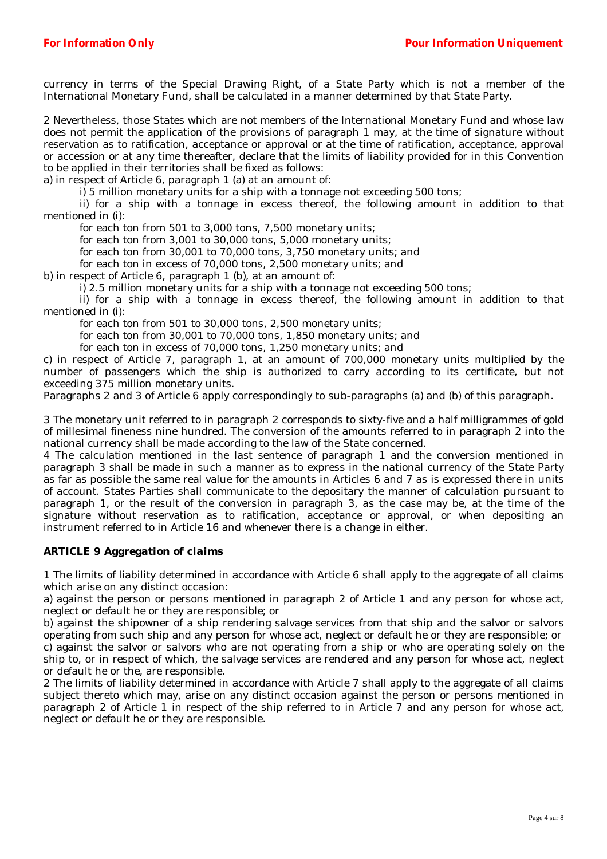currency in terms of the Special Drawing Right, of a State Party which is not a member of the International Monetary Fund, shall be calculated in a manner determined by that State Party.

2 Nevertheless, those States which are not members of the International Monetary Fund and whose law does not permit the application of the provisions of paragraph 1 may, at the time of signature without reservation as to ratification, acceptance or approval or at the time of ratification, acceptance, approval or accession or at any time thereafter, declare that the limits of liability provided for in this Convention to be applied in their territories shall be fixed as follows:

a) in respect of Article 6, paragraph 1 (a) at an amount of:

i) 5 million monetary units for a ship with a tonnage not exceeding 500 tons;

ii) for a ship with a tonnage in excess thereof, the following amount in addition to that mentioned in (i):

for each ton from 501 to 3,000 tons, 7,500 monetary units;

for each ton from 3,001 to 30,000 tons, 5,000 monetary units;

for each ton from 30,001 to 70,000 tons, 3,750 monetary units; and

for each ton in excess of 70,000 tons, 2,500 monetary units; and

b) in respect of Article 6, paragraph 1 (b), at an amount of:

i) 2.5 million monetary units for a ship with a tonnage not exceeding 500 tons;

ii) for a ship with a tonnage in excess thereof, the following amount in addition to that mentioned in (i):

for each ton from 501 to 30,000 tons, 2,500 monetary units;

for each ton from 30,001 to 70,000 tons, 1,850 monetary units; and

for each ton in excess of 70,000 tons, 1,250 monetary units; and

c) in respect of Article 7, paragraph 1, at an amount of 700,000 monetary units multiplied by the number of passengers which the ship is authorized to carry according to its certificate, but not exceeding 375 million monetary units.

Paragraphs 2 and 3 of Article 6 apply correspondingly to sub-paragraphs (a) and (b) of this paragraph.

3 The monetary unit referred to in paragraph 2 corresponds to sixty-five and a half milligrammes of gold of millesimal fineness nine hundred. The conversion of the amounts referred to in paragraph 2 into the national currency shall be made according to the law of the State concerned.

4 The calculation mentioned in the last sentence of paragraph 1 and the conversion mentioned in paragraph 3 shall be made in such a manner as to express in the national currency of the State Party as far as possible the same real value for the amounts in Articles 6 and 7 as is expressed there in units of account. States Parties shall communicate to the depositary the manner of calculation pursuant to paragraph 1, or the result of the conversion in paragraph 3, as the case may be, at the time of the signature without reservation as to ratification, acceptance or approval, or when depositing an instrument referred to in Article 16 and whenever there is a change in either.

# *ARTICLE 9 Aggregation of claims*

1 The limits of liability determined in accordance with Article 6 shall apply to the aggregate of all claims which arise on any distinct occasion:

a) against the person or persons mentioned in paragraph 2 of Article 1 and any person for whose act, neglect or default he or they are responsible; or

b) against the shipowner of a ship rendering salvage services from that ship and the salvor or salvors operating from such ship and any person for whose act, neglect or default he or they are responsible; or c) against the salvor or salvors who are not operating from a ship or who are operating solely on the ship to, or in respect of which, the salvage services are rendered and any person for whose act, neglect or default he or the, are responsible.

2 The limits of liability determined in accordance with Article 7 shall apply to the aggregate of all claims subject thereto which may, arise on any distinct occasion against the person or persons mentioned in paragraph 2 of Article 1 in respect of the ship referred to in Article 7 and any person for whose act, neglect or default he or they are responsible.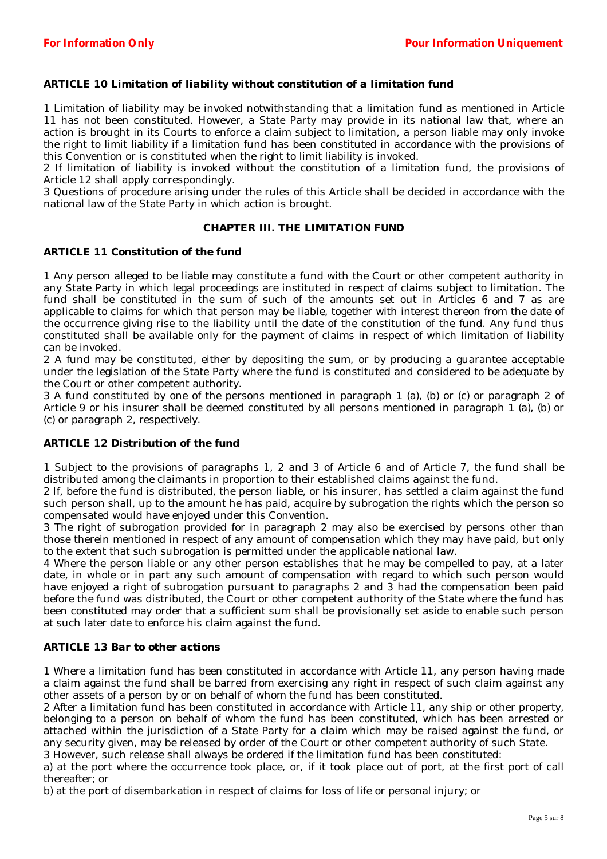## *ARTICLE 10 Limitation of liability without constitution of a limitation fund*

1 Limitation of liability may be invoked notwithstanding that a limitation fund as mentioned in Article 11 has not been constituted. However, a State Party may provide in its national law that, where an action is brought in its Courts to enforce a claim subject to limitation, a person liable may only invoke the right to limit liability if a limitation fund has been constituted in accordance with the provisions of this Convention or is constituted when the right to limit liability is invoked.

2 If limitation of liability is invoked without the constitution of a limitation fund, the provisions of Article 12 shall apply correspondingly.

3 Questions of procedure arising under the rules of this Article shall be decided in accordance with the national law of the State Party in which action is brought.

#### **CHAPTER III. THE LIMITATION FUND**

#### *ARTICLE 11 Constitution of the fund*

1 Any person alleged to be liable may constitute a fund with the Court or other competent authority in any State Party in which legal proceedings are instituted in respect of claims subject to limitation. The fund shall be constituted in the sum of such of the amounts set out in Articles 6 and 7 as are applicable to claims for which that person may be liable, together with interest thereon from the date of the occurrence giving rise to the liability until the date of the constitution of the fund. Any fund thus constituted shall be available only for the payment of claims in respect of which limitation of liability can be invoked.

2 A fund may be constituted, either by depositing the sum, or by producing a guarantee acceptable under the legislation of the State Party where the fund is constituted and considered to be adequate by the Court or other competent authority.

3 A fund constituted by one of the persons mentioned in paragraph 1 (a), (b) or (c) or paragraph 2 of Article 9 or his insurer shall be deemed constituted by all persons mentioned in paragraph  $\tilde{I}$  (a), (b) or (c) or paragraph 2, respectively.

## *ARTICLE 12 Distribution of the fund*

1 Subject to the provisions of paragraphs 1, 2 and 3 of Article 6 and of Article 7, the fund shall be distributed among the claimants in proportion to their established claims against the fund.

2 If, before the fund is distributed, the person liable, or his insurer, has settled a claim against the fund such person shall, up to the amount he has paid, acquire by subrogation the rights which the person so compensated would have enjoyed under this Convention.

3 The right of subrogation provided for in paragraph 2 may also be exercised by persons other than those therein mentioned in respect of any amount of compensation which they may have paid, but only to the extent that such subrogation is permitted under the applicable national law.

4 Where the person liable or any other person establishes that he may be compelled to pay, at a later date, in whole or in part any such amount of compensation with regard to which such person would have enjoyed a right of subrogation pursuant to paragraphs 2 and 3 had the compensation been paid before the fund was distributed, the Court or other competent authority of the State where the fund has been constituted may order that a sufficient sum shall be provisionally set aside to enable such person at such later date to enforce his claim against the fund.

#### *ARTICLE 13 Bar to other actions*

1 Where a limitation fund has been constituted in accordance with Article 11, any person having made a claim against the fund shall be barred from exercising any right in respect of such claim against any other assets of a person by or on behalf of whom the fund has been constituted.

2 After a limitation fund has been constituted in accordance with Article 11, any ship or other property, belonging to a person on behalf of whom the fund has been constituted, which has been arrested or attached within the jurisdiction of a State Party for a claim which may be raised against the fund, or any security given, may be released by order of the Court or other competent authority of such State.

3 However, such release shall always be ordered if the limitation fund has been constituted:

a) at the port where the occurrence took place, or, if it took place out of port, at the first port of call thereafter; or

b) at the port of disembarkation in respect of claims for loss of life or personal injury; or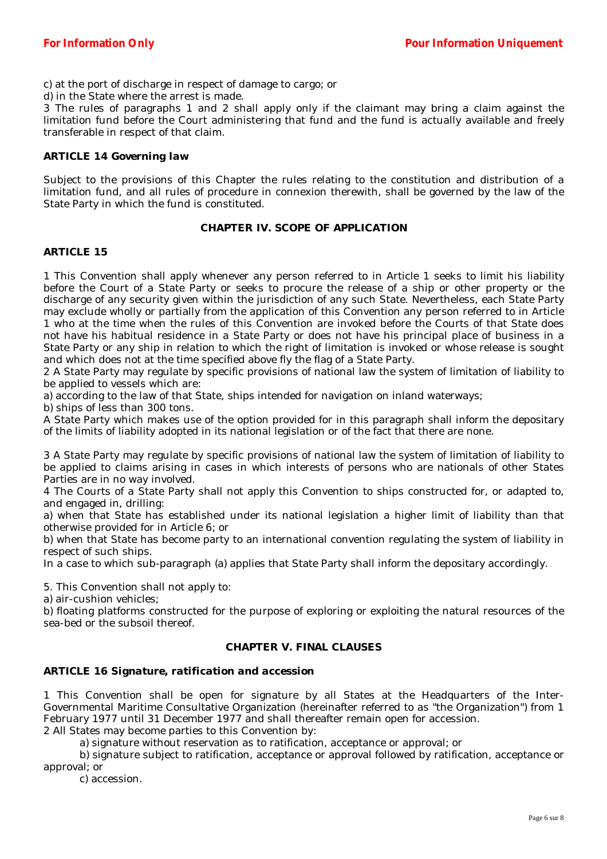c) at the port of discharge in respect of damage to cargo; or

d) in the State where the arrest is made.

3 The rules of paragraphs 1 and 2 shall apply only if the claimant may bring a claim against the limitation fund before the Court administering that fund and the fund is actually available and freely transferable in respect of that claim.

#### *ARTICLE 14 Governing law*

Subject to the provisions of this Chapter the rules relating to the constitution and distribution of a limitation fund, and all rules of procedure in connexion therewith, shall be governed by the law of the State Party in which the fund is constituted.

#### **CHAPTER IV. SCOPE OF APPLICATION**

#### *ARTICLE 15*

1 This Convention shall apply whenever any person referred to in Article 1 seeks to limit his liability before the Court of a State Party or seeks to procure the release of a ship or other property or the discharge of any security given within the jurisdiction of any such State. Nevertheless, each State Party may exclude wholly or partially from the application of this Convention any person referred to in Article 1 who at the time when the rules of this Convention are invoked before the Courts of that State does not have his habitual residence in a State Party or does not have his principal place of business in a State Party or any ship in relation to which the right of limitation is invoked or whose release is sought and which does not at the time specified above fly the flag of a State Party.

2 A State Party may regulate by specific provisions of national law the system of limitation of liability to be applied to vessels which are:

a) according to the law of that State, ships intended for navigation on inland waterways;

b) ships of less than 300 tons.

A State Party which makes use of the option provided for in this paragraph shall inform the depositary of the limits of liability adopted in its national legislation or of the fact that there are none.

3 A State Party may regulate by specific provisions of national law the system of limitation of liability to be applied to claims arising in cases in which interests of persons who are nationals of other States Parties are in no way involved.

4 The Courts of a State Party shall not apply this Convention to ships constructed for, or adapted to, and engaged in, drilling:

a) when that State has established under its national legislation a higher limit of liability than that otherwise provided for in Article 6; or

b) when that State has become party to an international convention regulating the system of liability in respect of such ships.

In a case to which sub-paragraph (a) applies that State Party shall inform the depositary accordingly.

5. This Convention shall not apply to:

a) air-cushion vehicles;

b) floating platforms constructed for the purpose of exploring or exploiting the natural resources of the sea-bed or the subsoil thereof.

# **CHAPTER V. FINAL CLAUSES**

#### *ARTICLE 16 Signature, ratification and accession*

1 This Convention shall be open for signature by all States at the Headquarters of the Inter-Governmental Maritime Consultative Organization (hereinafter referred to as "the Organization") from 1 February 1977 until 31 December 1977 and shall thereafter remain open for accession. 2 All States may become parties to this Convention by:

a) signature without reservation as to ratification, acceptance or approval; or

b) signature subject to ratification, acceptance or approval followed by ratification, acceptance or approval; or

c) accession.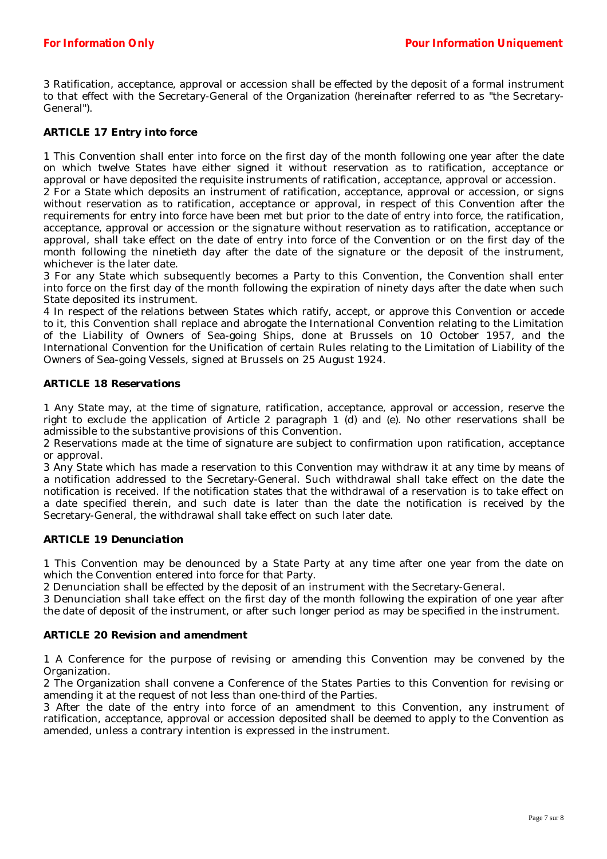3 Ratification, acceptance, approval or accession shall be effected by the deposit of a formal instrument to that effect with the Secretary-General of the Organization (hereinafter referred to as "the Secretary-General").

# *ARTICLE 17 Entry into force*

1 This Convention shall enter into force on the first day of the month following one year after the date on which twelve States have either signed it without reservation as to ratification, acceptance or approval or have deposited the requisite instruments of ratification, acceptance, approval or accession.

2 For a State which deposits an instrument of ratification, acceptance, approval or accession, or signs without reservation as to ratification, acceptance or approval, in respect of this Convention after the requirements for entry into force have been met but prior to the date of entry into force, the ratification, acceptance, approval or accession or the signature without reservation as to ratification, acceptance or approval, shall take effect on the date of entry into force of the Convention or on the first day of the month following the ninetieth day after the date of the signature or the deposit of the instrument, whichever is the later date.

3 For any State which subsequently becomes a Party to this Convention, the Convention shall enter into force on the first day of the month following the expiration of ninety days after the date when such State deposited its instrument.

4 In respect of the relations between States which ratify, accept, or approve this Convention or accede to it, this Convention shall replace and abrogate the International Convention relating to the Limitation of the Liability of Owners of Sea-going Ships, done at Brussels on 10 October 1957, and the International Convention for the Unification of certain Rules relating to the Limitation of Liability of the Owners of Sea-going Vessels, signed at Brussels on 25 August 1924.

## *ARTICLE 18 Reservations*

1 Any State may, at the time of signature, ratification, acceptance, approval or accession, reserve the right to exclude the application of Article 2 paragraph 1 (d) and (e). No other reservations shall be admissible to the substantive provisions of this Convention.

2 Reservations made at the time of signature are subject to confirmation upon ratification, acceptance or approval.

3 Any State which has made a reservation to this Convention may withdraw it at any time by means of a notification addressed to the Secretary-General. Such withdrawal shall take effect on the date the notification is received. If the notification states that the withdrawal of a reservation is to take effect on a date specified therein, and such date is later than the date the notification is received by the Secretary-General, the withdrawal shall take effect on such later date.

## *ARTICLE 19 Denunciation*

1 This Convention may be denounced by a State Party at any time after one year from the date on which the Convention entered into force for that Party.

2 Denunciation shall be effected by the deposit of an instrument with the Secretary-General.

3 Denunciation shall take effect on the first day of the month following the expiration of one year after the date of deposit of the instrument, or after such longer period as may be specified in the instrument.

#### *ARTICLE 20 Revision and amendment*

1 A Conference for the purpose of revising or amending this Convention may be convened by the Organization.

2 The Organization shall convene a Conference of the States Parties to this Convention for revising or amending it at the request of not less than one-third of the Parties.

3 After the date of the entry into force of an amendment to this Convention, any instrument of ratification, acceptance, approval or accession deposited shall be deemed to apply to the Convention as amended, unless a contrary intention is expressed in the instrument.